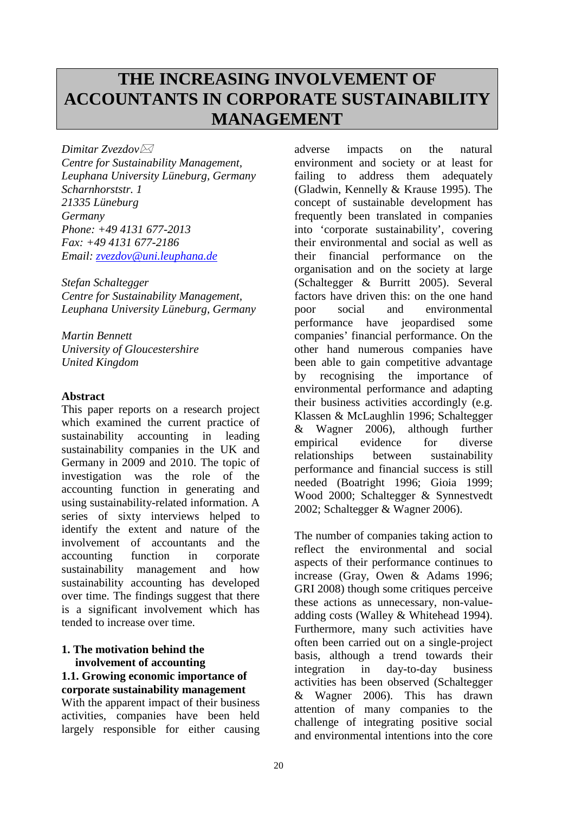# **THE INCREASING INVOLVEMENT OF ACCOUNTANTS IN CORPORATE SUSTAINABILITY MANAGEMENT**

*Dimitar Zvezdov Centre for Sustainability Management, Leuphana University Lüneburg, Germany Scharnhorststr. 1 21335 Lüneburg Germany*

*Phone: +49 4131 677-2013 Fax: +49 4131 677-2186 Email: [zvezdov@uni.leuphana.de](mailto:zvezdov@uni.leuphana.de)*

*Stefan Schaltegger Centre for Sustainability Management, Leuphana University Lüneburg, Germany*

*Martin Bennett University of Gloucestershire United Kingdom*

# **Abstract**

This paper reports on a research project which examined the current practice of sustainability accounting in leading sustainability companies in the UK and Germany in 2009 and 2010. The topic of investigation was the role of the accounting function in generating and using sustainability-related information. A series of sixty interviews helped to identify the extent and nature of the involvement of accountants and the accounting function in corporate sustainability management and how sustainability accounting has developed over time. The findings suggest that there is a significant involvement which has tended to increase over time.

# **1. The motivation behind the involvement of accounting 1.1. Growing economic importance of**

**corporate sustainability management** With the apparent impact of their business activities, companies have been held largely responsible for either causing

adverse impacts on the natural environment and society or at least for failing to address them adequately (Gladwin, Kennelly & Krause 1995). The concept of sustainable development has frequently been translated in companies into 'corporate sustainability', covering their environmental and social as well as their financial performance on the organisation and on the society at large (Schaltegger & Burritt 2005). Several factors have driven this: on the one hand poor social and environmental performance have jeopardised some companies' financial performance. On the other hand numerous companies have been able to gain competitive advantage by recognising the importance of environmental performance and adapting their business activities accordingly (e.g. Klassen & McLaughlin 1996; Schaltegger & Wagner 2006), although further empirical evidence for diverse relationships between sustainability performance and financial success is still needed (Boatright 1996; Gioia 1999; Wood 2000; Schaltegger & Synnestvedt 2002; Schaltegger & Wagner 2006).

The number of companies taking action to reflect the environmental and social aspects of their performance continues to increase (Gray, Owen & Adams 1996; GRI 2008) though some critiques perceive these actions as unnecessary, non-valueadding costs (Walley & Whitehead 1994). Furthermore, many such activities have often been carried out on a single-project basis, although a trend towards their integration in day-to-day business activities has been observed (Schaltegger & Wagner 2006). This has drawn attention of many companies to the challenge of integrating positive social and environmental intentions into the core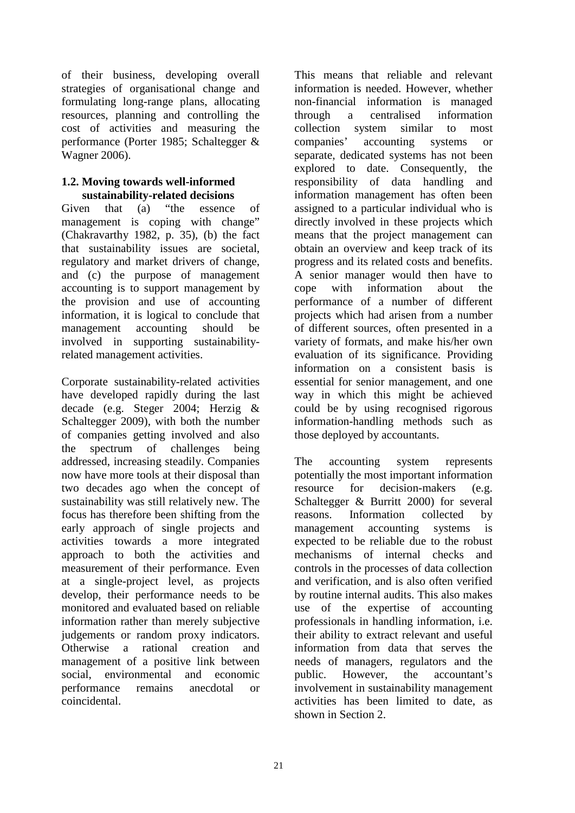of their business, developing overall strategies of organisational change and formulating long-range plans, allocating resources, planning and controlling the cost of activities and measuring the performance (Porter 1985; Schaltegger & Wagner 2006).

## **1.2. Moving towards well-informed sustainability-related decisions**

Given that (a) "the essence of management is coping with change" (Chakravarthy 1982, p. 35), (b) the fact that sustainability issues are societal, regulatory and market drivers of change, and (c) the purpose of management accounting is to support management by the provision and use of accounting information, it is logical to conclude that management accounting should be involved in supporting sustainabilityrelated management activities.

Corporate sustainability-related activities have developed rapidly during the last decade (e.g. Steger 2004; Herzig & Schaltegger 2009), with both the number of companies getting involved and also the spectrum of challenges being addressed, increasing steadily. Companies now have more tools at their disposal than two decades ago when the concept of sustainability was still relatively new. The focus has therefore been shifting from the early approach of single projects and activities towards a more integrated approach to both the activities and measurement of their performance. Even at a single-project level, as projects develop, their performance needs to be monitored and evaluated based on reliable information rather than merely subjective judgements or random proxy indicators. Otherwise a rational creation and management of a positive link between social, environmental and economic performance remains anecdotal or coincidental.

This means that reliable and relevant information is needed. However, whether non-financial information is managed through a centralised information collection system similar to most companies' accounting systems or separate, dedicated systems has not been explored to date. Consequently, the responsibility of data handling and information management has often been assigned to a particular individual who is directly involved in these projects which means that the project management can obtain an overview and keep track of its progress and its related costs and benefits. A senior manager would then have to cope with information about the performance of a number of different projects which had arisen from a number of different sources, often presented in a variety of formats, and make his/her own evaluation of its significance. Providing information on a consistent basis is essential for senior management, and one way in which this might be achieved could be by using recognised rigorous information-handling methods such as those deployed by accountants.

The accounting system represents potentially the most important information resource for decision-makers (e.g. Schaltegger & Burritt 2000) for several reasons. Information collected by management accounting systems is expected to be reliable due to the robust mechanisms of internal checks and controls in the processes of data collection and verification, and is also often verified by routine internal audits. This also makes use of the expertise of accounting professionals in handling information, i.e. their ability to extract relevant and useful information from data that serves the needs of managers, regulators and the public. However, the accountant's involvement in sustainability management activities has been limited to date, as shown in Section 2.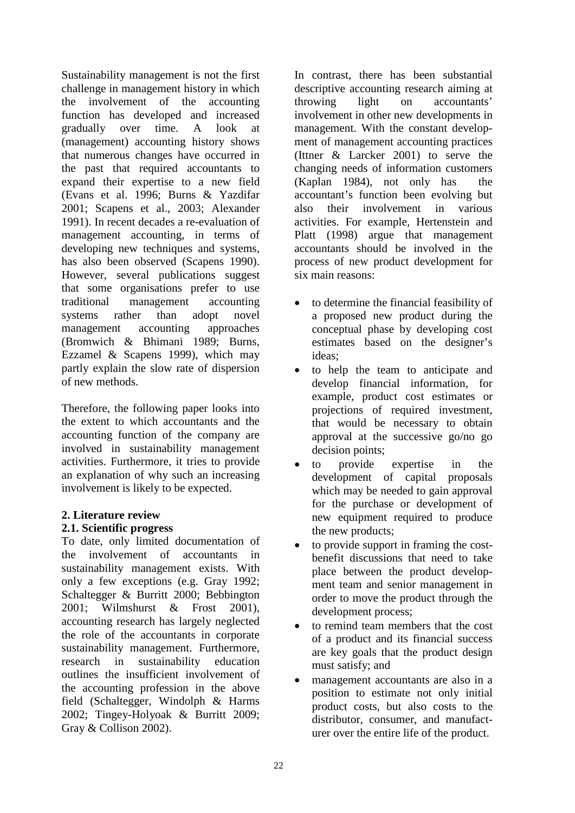Sustainability management is not the first challenge in management history in which the involvement of the accounting function has developed and increased gradually over time. A look at (management) accounting history shows that numerous changes have occurred in the past that required accountants to expand their expertise to a new field (Evans et al. 1996; Burns & Yazdifar 2001; Scapens et al., 2003; Alexander 1991). In recent decades a re-evaluation of management accounting, in terms of developing new techniques and systems, has also been observed (Scapens 1990). However, several publications suggest that some organisations prefer to use traditional management accounting systems rather than adopt novel management accounting approaches (Bromwich & Bhimani 1989; Burns, Ezzamel & Scapens 1999), which may partly explain the slow rate of dispersion of new methods.

Therefore, the following paper looks into the extent to which accountants and the accounting function of the company are involved in sustainability management activities. Furthermore, it tries to provide an explanation of why such an increasing involvement is likely to be expected.

# **2. Literature review**

# **2.1. Scientific progress**

To date, only limited documentation of the involvement of accountants in sustainability management exists. With only a few exceptions (e.g. Gray 1992; Schaltegger & Burritt 2000; Bebbington 2001; Wilmshurst & Frost 2001), accounting research has largely neglected the role of the accountants in corporate sustainability management. Furthermore, research in sustainability education outlines the insufficient involvement of the accounting profession in the above field (Schaltegger, Windolph & Harms 2002; Tingey-Holyoak & Burritt 2009; Gray & Collison 2002).

In contrast, there has been substantial descriptive accounting research aiming at throwing light on accountants' involvement in other new developments in management. With the constant development of management accounting practices (Ittner & Larcker 2001) to serve the changing needs of information customers (Kaplan 1984), not only has the accountant's function been evolving but also their involvement in various activities. For example, Hertenstein and Platt (1998) argue that management accountants should be involved in the process of new product development for six main reasons:

- to determine the financial feasibility of a proposed new product during the conceptual phase by developing cost estimates based on the designer's ideas;
- to help the team to anticipate and develop financial information, for example, product cost estimates or projections of required investment, that would be necessary to obtain approval at the successive go/no go decision points;
- to provide expertise in the development of capital proposals which may be needed to gain approval for the purchase or development of new equipment required to produce the new products;
- to provide support in framing the costbenefit discussions that need to take place between the product development team and senior management in order to move the product through the development process;
- to remind team members that the cost of a product and its financial success are key goals that the product design must satisfy; and
- management accountants are also in a position to estimate not only initial product costs, but also costs to the distributor, consumer, and manufacturer over the entire life of the product.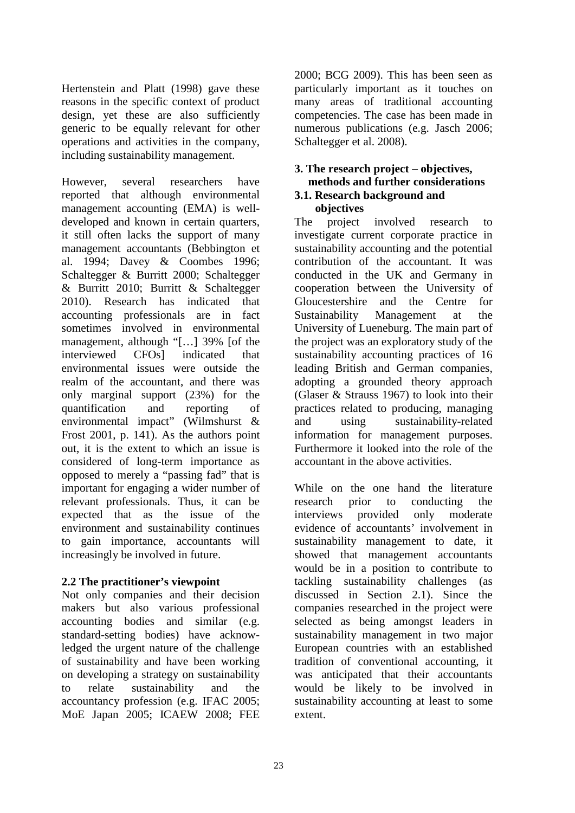Hertenstein and Platt (1998) gave these reasons in the specific context of product design, yet these are also sufficiently generic to be equally relevant for other operations and activities in the company, including sustainability management.

However, several researchers have reported that although environmental management accounting (EMA) is welldeveloped and known in certain quarters, it still often lacks the support of many management accountants (Bebbington et al. 1994; Davey & Coombes 1996; Schaltegger & Burritt 2000; Schaltegger & Burritt 2010; Burritt & Schaltegger 2010). Research has indicated that accounting professionals are in fact sometimes involved in environmental management, although "[…] 39% [of the interviewed CFOs] indicated that environmental issues were outside the realm of the accountant, and there was only marginal support (23%) for the quantification and reporting of environmental impact" (Wilmshurst & Frost 2001, p. 141). As the authors point out, it is the extent to which an issue is considered of long-term importance as opposed to merely a "passing fad" that is important for engaging a wider number of relevant professionals. Thus, it can be expected that as the issue of the environment and sustainability continues to gain importance, accountants will increasingly be involved in future.

# **2.2 The practitioner's viewpoint**

Not only companies and their decision makers but also various professional accounting bodies and similar (e.g. standard-setting bodies) have acknowledged the urgent nature of the challenge of sustainability and have been working on developing a strategy on sustainability to relate sustainability and the accountancy profession (e.g. IFAC 2005; MoE Japan 2005; ICAEW 2008; FEE 2000; BCG 2009). This has been seen as particularly important as it touches on many areas of traditional accounting competencies. The case has been made in numerous publications (e.g. Jasch 2006; Schaltegger et al. 2008).

## **3. The research project – objectives, methods and further considerations 3.1. Research background and objectives**

The project involved research to investigate current corporate practice in sustainability accounting and the potential contribution of the accountant. It was conducted in the UK and Germany in cooperation between the University of Gloucestershire and the Centre for Sustainability Management at the University of Lueneburg. The main part of the project was an exploratory study of the sustainability accounting practices of 16 leading British and German companies, adopting a grounded theory approach (Glaser & Strauss 1967) to look into their practices related to producing, managing and using sustainability-related information for management purposes. Furthermore it looked into the role of the accountant in the above activities.

While on the one hand the literature research prior to conducting the interviews provided only moderate evidence of accountants' involvement in sustainability management to date, it showed that management accountants would be in a position to contribute to tackling sustainability challenges (as discussed in Section 2.1). Since the companies researched in the project were selected as being amongst leaders in sustainability management in two major European countries with an established tradition of conventional accounting, it was anticipated that their accountants would be likely to be involved in sustainability accounting at least to some extent.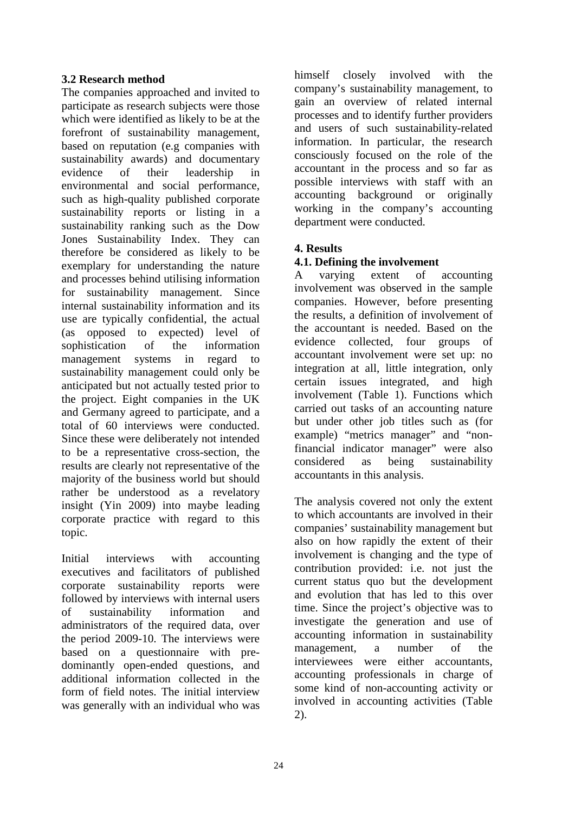# **3.2 Research method**

The companies approached and invited to participate as research subjects were those which were identified as likely to be at the forefront of sustainability management, based on reputation (e.g companies with sustainability awards) and documentary evidence of their leadership in environmental and social performance, such as high-quality published corporate sustainability reports or listing in a sustainability ranking such as the Dow Jones Sustainability Index. They can therefore be considered as likely to be exemplary for understanding the nature and processes behind utilising information for sustainability management. Since internal sustainability information and its use are typically confidential, the actual (as opposed to expected) level of sophistication of the information management systems in regard to sustainability management could only be anticipated but not actually tested prior to the project. Eight companies in the UK and Germany agreed to participate, and a total of 60 interviews were conducted. Since these were deliberately not intended to be a representative cross-section, the results are clearly not representative of the majority of the business world but should rather be understood as a revelatory insight (Yin 2009) into maybe leading corporate practice with regard to this topic.

Initial interviews with accounting executives and facilitators of published corporate sustainability reports were followed by interviews with internal users of sustainability information and administrators of the required data, over the period 2009-10. The interviews were based on a questionnaire with predominantly open-ended questions, and additional information collected in the form of field notes. The initial interview was generally with an individual who was himself closely involved with the company's sustainability management, to gain an overview of related internal processes and to identify further providers and users of such sustainability-related information. In particular, the research consciously focused on the role of the accountant in the process and so far as possible interviews with staff with an accounting background or originally working in the company's accounting department were conducted.

# **4. Results**

# **4.1. Defining the involvement**

A varying extent of accounting involvement was observed in the sample companies. However, before presenting the results, a definition of involvement of the accountant is needed. Based on the evidence collected, four groups of accountant involvement were set up: no integration at all, little integration, only certain issues integrated, and high involvement (Table 1). Functions which carried out tasks of an accounting nature but under other job titles such as (for example) "metrics manager" and "nonfinancial indicator manager" were also considered as being sustainability accountants in this analysis.

The analysis covered not only the extent to which accountants are involved in their companies' sustainability management but also on how rapidly the extent of their involvement is changing and the type of contribution provided: i.e. not just the current status quo but the development and evolution that has led to this over time. Since the project's objective was to investigate the generation and use of accounting information in sustainability management, a number of the interviewees were either accountants, accounting professionals in charge of some kind of non-accounting activity or involved in accounting activities (Table 2).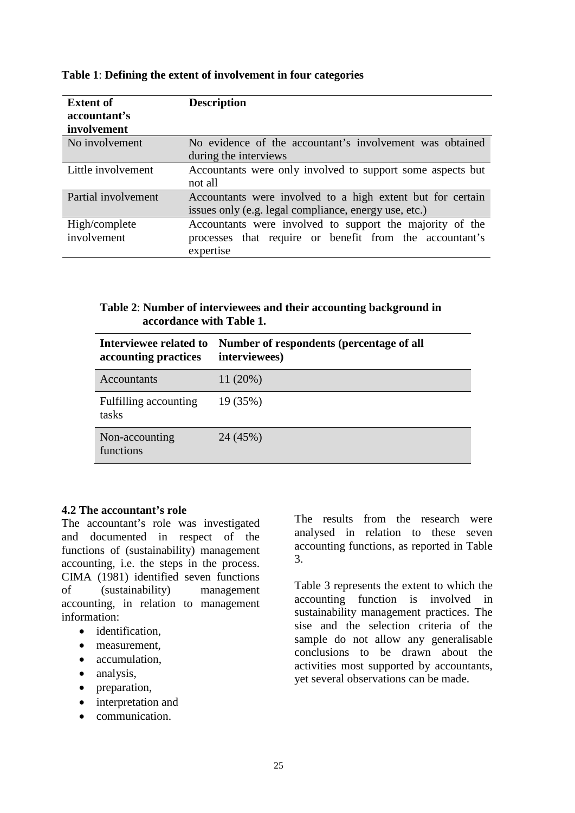| <b>Extent of</b><br>accountant's | <b>Description</b>                                         |
|----------------------------------|------------------------------------------------------------|
| involvement                      |                                                            |
| No involvement                   | No evidence of the accountant's involvement was obtained   |
|                                  | during the interviews                                      |
| Little involvement               | Accountants were only involved to support some aspects but |
|                                  | not all                                                    |
| Partial involvement              | Accountants were involved to a high extent but for certain |
|                                  | issues only (e.g. legal compliance, energy use, etc.)      |
| High/complete                    | Accountants were involved to support the majority of the   |
| involvement                      | processes that require or benefit from the accountant's    |
|                                  | expertise                                                  |

#### **Table 1**: **Defining the extent of involvement in four categories**

## **Table 2**: **Number of interviewees and their accounting background in accordance with Table 1.**

| Interviewee related to<br>accounting practices | Number of respondents (percentage of all<br>interviewees) |
|------------------------------------------------|-----------------------------------------------------------|
| Accountants                                    | 11(20%)                                                   |
| Fulfilling accounting<br>tasks                 | 19 (35%)                                                  |
| Non-accounting<br>functions                    | 24 (45%)                                                  |

#### **4.2 The accountant's role**

The accountant's role was investigated and documented in respect of the functions of (sustainability) management accounting, i.e. the steps in the process. CIMA (1981) identified seven functions of (sustainability) management accounting, in relation to management information:

- identification.
- measurement,
- accumulation,
- analysis,
- preparation,
- interpretation and
- communication.

The results from the research were analysed in relation to these seven accounting functions, as reported in Table 3.

Table 3 represents the extent to which the accounting function is involved in sustainability management practices. The sise and the selection criteria of the sample do not allow any generalisable conclusions to be drawn about the activities most supported by accountants, yet several observations can be made.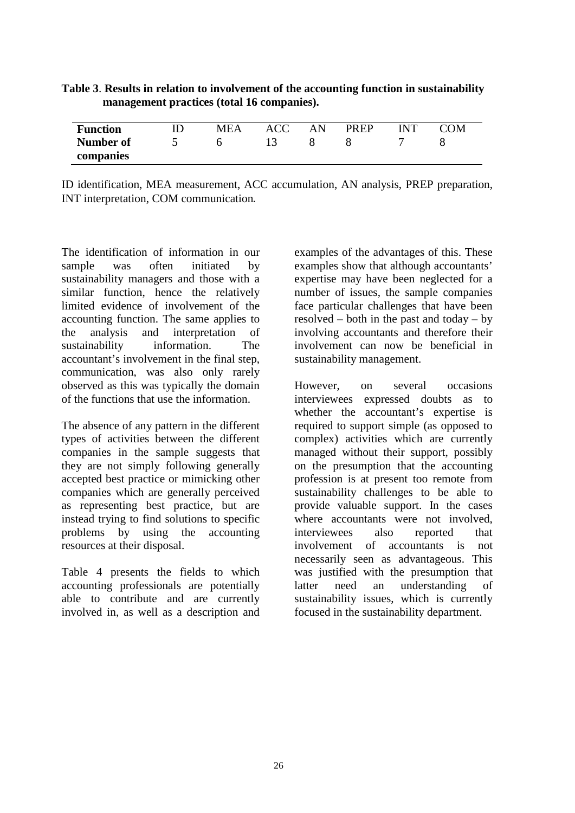| <b>Function</b> | <b>MEA</b> | ACC | <b>PREP</b> | Ж |
|-----------------|------------|-----|-------------|---|
| Number of       |            |     |             |   |
| companies       |            |     |             |   |

# **Table 3**. **Results in relation to involvement of the accounting function in sustainability management practices (total 16 companies).**

ID identification, MEA measurement, ACC accumulation, AN analysis, PREP preparation, INT interpretation, COM communication.

The identification of information in our sample was often initiated by sustainability managers and those with a similar function, hence the relatively limited evidence of involvement of the accounting function. The same applies to the analysis and interpretation of sustainability information. The accountant's involvement in the final step, communication, was also only rarely observed as this was typically the domain of the functions that use the information.

The absence of any pattern in the different types of activities between the different companies in the sample suggests that they are not simply following generally accepted best practice or mimicking other companies which are generally perceived as representing best practice, but are instead trying to find solutions to specific problems by using the accounting resources at their disposal.

Table 4 presents the fields to which accounting professionals are potentially able to contribute and are currently involved in, as well as a description and

examples of the advantages of this. These examples show that although accountants' expertise may have been neglected for a number of issues, the sample companies face particular challenges that have been resolved – both in the past and today – by involving accountants and therefore their involvement can now be beneficial in sustainability management.

However, on several occasions interviewees expressed doubts as to whether the accountant's expertise is required to support simple (as opposed to complex) activities which are currently managed without their support, possibly on the presumption that the accounting profession is at present too remote from sustainability challenges to be able to provide valuable support. In the cases where accountants were not involved, interviewees also reported that involvement of accountants is not necessarily seen as advantageous. This was justified with the presumption that latter need an understanding of sustainability issues, which is currently focused in the sustainability department.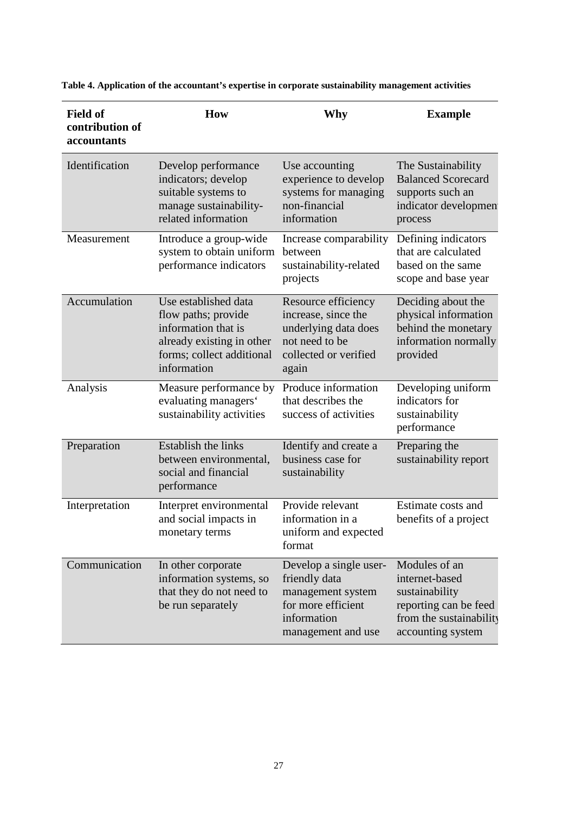| <b>Field of</b>                | How                                                                                                                                         | Why                                                                                                                     | <b>Example</b>                                                                                                             |
|--------------------------------|---------------------------------------------------------------------------------------------------------------------------------------------|-------------------------------------------------------------------------------------------------------------------------|----------------------------------------------------------------------------------------------------------------------------|
| contribution of<br>accountants |                                                                                                                                             |                                                                                                                         |                                                                                                                            |
| Identification                 | Develop performance<br>indicators; develop<br>suitable systems to<br>manage sustainability-<br>related information                          | Use accounting<br>experience to develop<br>systems for managing<br>non-financial<br>information                         | The Sustainability<br><b>Balanced Scorecard</b><br>supports such an<br>indicator developmen<br>process                     |
| Measurement                    | Introduce a group-wide<br>system to obtain uniform<br>performance indicators                                                                | Increase comparability<br>between<br>sustainability-related<br>projects                                                 | Defining indicators<br>that are calculated<br>based on the same<br>scope and base year                                     |
| Accumulation                   | Use established data<br>flow paths; provide<br>information that is<br>already existing in other<br>forms; collect additional<br>information | Resource efficiency<br>increase, since the<br>underlying data does<br>not need to be<br>collected or verified<br>again  | Deciding about the<br>physical information<br>behind the monetary<br>information normally<br>provided                      |
| Analysis                       | Measure performance by<br>evaluating managers'<br>sustainability activities                                                                 | Produce information<br>that describes the<br>success of activities                                                      | Developing uniform<br>indicators for<br>sustainability<br>performance                                                      |
| Preparation                    | Establish the links<br>between environmental,<br>social and financial<br>performance                                                        | Identify and create a<br>business case for<br>sustainability                                                            | Preparing the<br>sustainability report                                                                                     |
| Interpretation                 | Interpret environmental<br>and social impacts in<br>monetary terms                                                                          | Provide relevant<br>information in a<br>uniform and expected<br>format                                                  | Estimate costs and<br>benefits of a project                                                                                |
| Communication                  | In other corporate<br>information systems, so<br>that they do not need to<br>be run separately                                              | Develop a single user-<br>friendly data<br>management system<br>for more efficient<br>information<br>management and use | Modules of an<br>internet-based<br>sustainability<br>reporting can be feed<br>from the sustainability<br>accounting system |

**Table 4. Application of the accountant's expertise in corporate sustainability management activities**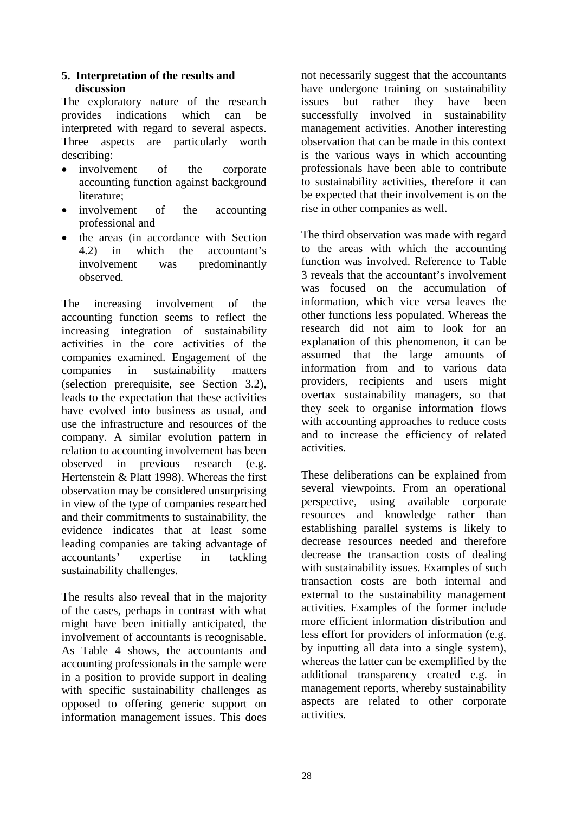# **5. Interpretation of the results and discussion**

The exploratory nature of the research provides indications which can be interpreted with regard to several aspects. Three aspects are particularly worth describing:

- involvement of the corporate accounting function against background literature;
- involvement of the accounting professional and
- the areas (in accordance with Section 4.2) in which the accountant's<br>involvement was predominantly was predominantly observed.

The increasing involvement of the accounting function seems to reflect the increasing integration of sustainability activities in the core activities of the companies examined. Engagement of the companies in sustainability matters (selection prerequisite, see Section 3.2), leads to the expectation that these activities have evolved into business as usual, and use the infrastructure and resources of the company. A similar evolution pattern in relation to accounting involvement has been observed in previous research (e.g. Hertenstein & Platt 1998). Whereas the first observation may be considered unsurprising in view of the type of companies researched and their commitments to sustainability, the evidence indicates that at least some leading companies are taking advantage of accountants' expertise in tackling sustainability challenges.

The results also reveal that in the majority of the cases, perhaps in contrast with what might have been initially anticipated, the involvement of accountants is recognisable. As Table 4 shows, the accountants and accounting professionals in the sample were in a position to provide support in dealing with specific sustainability challenges as opposed to offering generic support on information management issues. This does

not necessarily suggest that the accountants have undergone training on sustainability<br>issues but rather they have been rather successfully involved in sustainability management activities. Another interesting observation that can be made in this context is the various ways in which accounting professionals have been able to contribute to sustainability activities, therefore it can be expected that their involvement is on the rise in other companies as well.

The third observation was made with regard to the areas with which the accounting function was involved. Reference to Table 3 reveals that the accountant's involvement was focused on the accumulation of information, which vice versa leaves the other functions less populated. Whereas the research did not aim to look for an explanation of this phenomenon, it can be assumed that the large amounts of information from and to various data providers, recipients and users might overtax sustainability managers, so that they seek to organise information flows with accounting approaches to reduce costs and to increase the efficiency of related activities.

These deliberations can be explained from several viewpoints. From an operational perspective, using available corporate resources and knowledge rather than establishing parallel systems is likely to decrease resources needed and therefore decrease the transaction costs of dealing with sustainability issues. Examples of such transaction costs are both internal and external to the sustainability management activities. Examples of the former include more efficient information distribution and less effort for providers of information (e.g. by inputting all data into a single system), whereas the latter can be exemplified by the additional transparency created e.g. in management reports, whereby sustainability aspects are related to other corporate activities.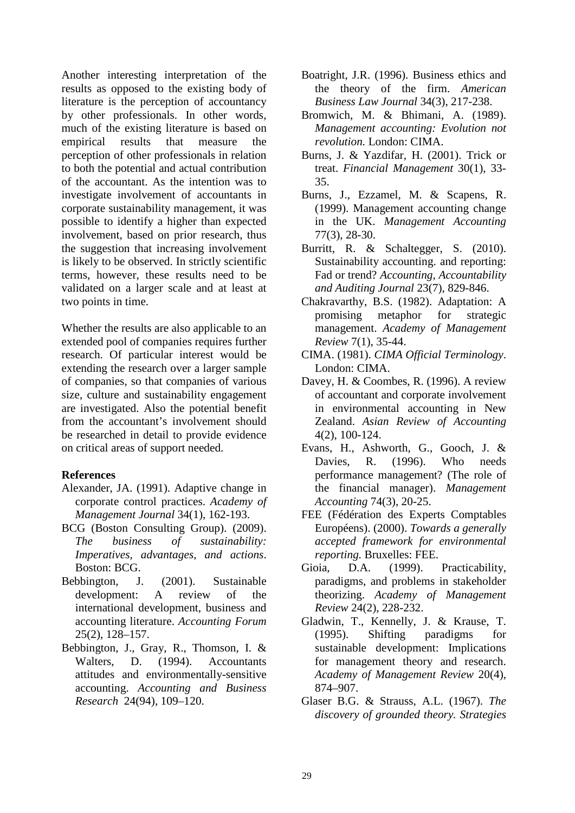Another interesting interpretation of the results as opposed to the existing body of literature is the perception of accountancy by other professionals. In other words, much of the existing literature is based on empirical results that measure the perception of other professionals in relation to both the potential and actual contribution of the accountant. As the intention was to investigate involvement of accountants in corporate sustainability management, it was possible to identify a higher than expected involvement, based on prior research, thus the suggestion that increasing involvement is likely to be observed. In strictly scientific terms, however, these results need to be validated on a larger scale and at least at two points in time.

Whether the results are also applicable to an extended pool of companies requires further research. Of particular interest would be extending the research over a larger sample of companies, so that companies of various size, culture and sustainability engagement are investigated. Also the potential benefit from the accountant's involvement should be researched in detail to provide evidence on critical areas of support needed.

#### **References**

- Alexander, JA. (1991). Adaptive change in corporate control practices. *Academy of Management Journal* 34(1), 162-193.
- BCG (Boston Consulting Group). (2009). *The business of sustainability: Imperatives, advantages, and actions*. Boston: BCG.
- Bebbington, J. (2001). Sustainable development: A review of the international development, business and accounting literature. *Accounting Forum* 25(2), 128–157.
- Bebbington, J., Gray, R., Thomson, I. & Walters, D. (1994). Accountants attitudes and environmentally-sensitive accounting. *Accounting and Business Research* 24(94), 109–120.
- Boatright, J.R. (1996). Business ethics and the theory of the firm. *American Business Law Journal* 34(3), 217-238.
- Bromwich, M. & Bhimani, A. (1989). *Management accounting: Evolution not revolution.* London: CIMA.
- Burns, J. & Yazdifar, H. (2001). Trick or treat. *Financial Management* 30(1), 33- 35.
- Burns, J., Ezzamel, M. & Scapens, R. (1999). Management accounting change in the UK. *Management Accounting* 77(3), 28-30.
- Burritt, R. & Schaltegger, S. (2010). Sustainability accounting. and reporting: Fad or trend? *Accounting, Accountability and Auditing Journal* 23(7), 829-846.
- Chakravarthy, B.S. (1982). Adaptation: A promising metaphor for strategic management. *Academy of Management Review* 7(1), 35-44.
- CIMA. (1981). *CIMA Official Terminology*. London: CIMA.
- Davey, H. & Coombes, R. (1996). A review of accountant and corporate involvement in environmental accounting in New Zealand. *Asian Review of Accounting* 4(2), 100-124.
- Evans, H., Ashworth, G., Gooch, J. & Davies, R. (1996). Who needs performance management? (The role of the financial manager). *Management Accounting* 74(3), 20-25.
- FEE (Fédération des Experts Comptables Européens). (2000). *Towards a generally accepted framework for environmental reporting.* Bruxelles: FEE.
- Gioia, D.A. (1999). Practicability, paradigms, and problems in stakeholder theorizing. *Academy of Management Review* 24(2), 228-232.
- Gladwin, T., Kennelly, J. & Krause, T. (1995). Shifting paradigms for sustainable development: Implications for management theory and research. *Academy of Management Review* 20(4), 874–907.
- Glaser B.G. & Strauss, A.L. (1967). *The discovery of grounded theory. Strategies*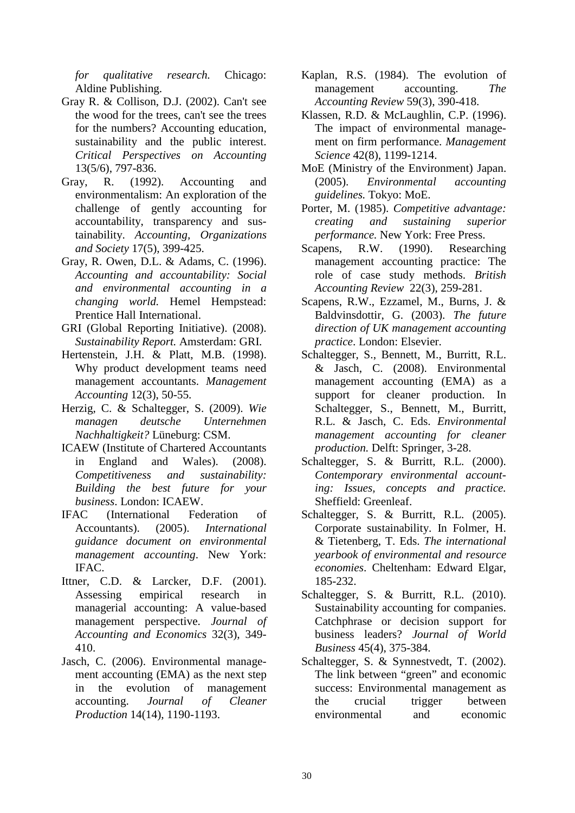*for qualitative research.* Chicago: Aldine Publishing.

- Gray R. & Collison, D.J. (2002). Can't see the wood for the trees, can't see the trees for the numbers? Accounting education, sustainability and the public interest. *Critical Perspectives on Accounting* 13(5/6), 797-836.
- Gray, R. (1992). Accounting and environmentalism: An exploration of the challenge of gently accounting for accountability, transparency and sustainability. *Accounting, Organizations and Society* 17(5), 399-425.
- Gray, R. Owen, D.L. & Adams, C. (1996). *Accounting and accountability: Social and environmental accounting in a changing world.* Hemel Hempstead: Prentice Hall International.
- GRI (Global Reporting Initiative). (2008). *Sustainability Report.* Amsterdam: GRI.
- Hertenstein, J.H. & Platt, M.B. (1998). Why product development teams need management accountants. *Management Accounting* 12(3), 50-55.
- Herzig, C. & Schaltegger, S. (2009). *Wie managen deutsche Unternehmen Nachhaltigkeit?* Lüneburg: CSM.
- ICAEW (Institute of Chartered Accountants in England and Wales). (2008). *Competitiveness and sustainability: Building the best future for your business*. London: ICAEW.
- IFAC (International Federation of Accountants). (2005). *International guidance document on environmental management accounting*. New York: IFAC.
- Ittner, C.D. & Larcker, D.F. (2001). Assessing empirical research in managerial accounting: A value-based management perspective. *Journal of Accounting and Economics* 32(3), 349- 410.
- Jasch, C. (2006). Environmental management accounting (EMA) as the next step in the evolution of management accounting. *Journal of Cleaner Production* 14(14), 1190-1193.
- Kaplan, R.S. (1984). The evolution of management accounting. *The Accounting Review* 59(3), 390-418.
- Klassen, R.D. & McLaughlin, C.P. (1996). The impact of environmental management on firm performance. *Management Science* 42(8), 1199-1214.
- MoE (Ministry of the Environment) Japan. (2005). *Environmental accounting guidelines.* Tokyo: MoE.
- Porter, M. (1985). *Competitive advantage: creating and sustaining superior performance.* New York: Free Press.
- Scapens, R.W. (1990). Researching management accounting practice: The role of case study methods. *British Accounting Review* 22(3), 259-281.
- Scapens, R.W., Ezzamel, M., Burns, J. & Baldvinsdottir, G. (2003). *The future direction of UK management accounting practice*. London: Elsevier.
- Schaltegger, S., Bennett, M., Burritt, R.L. & Jasch, C. (2008). Environmental management accounting (EMA) as a support for cleaner production. In Schaltegger, S., Bennett, M., Burritt, R.L. & Jasch, C. Eds. *Environmental management accounting for cleaner production.* Delft: Springer, 3-28.
- Schaltegger, S. & Burritt, R.L. (2000). *Contemporary environmental accounting: Issues, concepts and practice.* Sheffield: Greenleaf.
- Schaltegger, S. & Burritt, R.L. (2005). Corporate sustainability. In Folmer, H. & Tietenberg, T. Eds. *The international yearbook of environmental and resource economies*. Cheltenham: Edward Elgar, 185-232.
- Schaltegger, S. & Burritt, R.L. (2010). Sustainability accounting for companies. Catchphrase or decision support for business leaders? *Journal of World Business* 45(4), 375-384.
- Schaltegger, S. & Synnestvedt, T. (2002). The link between "green" and economic success: Environmental management as the crucial trigger between environmental and economic